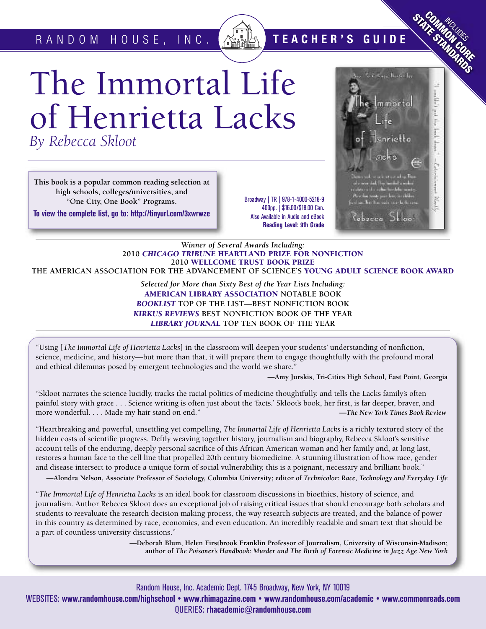R A N D O M H O U S E , I N C . **T E A C H E R ' S G U I D E**

# The Immortal Life of Henrietta Lacks *By Rebecca Skloot*

**This book is a popular common reading selection at high schools, colleges/universities, and "One City, One Book" Programs.**

**To view the complete list, go to: http://tinyurl.com/3xwrwze**

Broadway | TR | 978-1-4000-5218-9 400pp. | \$16.00/\$18.00 Can. Also Available in Audio and eBook **Reading Level: 9th Grade**

### *Winner of Several Awards Including:* **2010** *CHICAGO TRIBUNE* **HEARTLAND PRIZE FOR NONFICTION 2010 WELLCOME TRUST BOOK PRIZE THE AMERICAN ASSOCIATION FOR THE ADVANCEMENT OF SCIENCE'S YOUNG ADULT SCIENCE BOOK AWARD**

*Selected for More than Sixty Best of the Year Lists Including:* **AMERICAN LIBRARY ASSOCIATION NOTABLE BOOK** *BOOKLIST* **TOP OF THE LIST—BEST NONFICTION BOOK** *KIRKUS REVIEWS* **BEST NONFICTION BOOK OF THE YEAR** *LIBRARY JOURNAL* **TOP TEN BOOK OF THE YEAR**

"Using [*The Immortal Life of Henrietta Lacks*] in the classroom will deepen your students' understanding of nonfiction, science, medicine, and history—but more than that, it will prepare them to engage thoughtfully with the profound moral and ethical dilemmas posed by emergent technologies and the world we share."

**—Amy Jurskis, Tri-Cities High School, East Point, Georgia**

INCLUDES **COMMUNISTICATION STATE STANDARDS** 

module is post

ŗ E

mmorta

snrietta

čebecca Skloo

"Skloot narrates the science lucidly, tracks the racial politics of medicine thoughtfully, and tells the Lacks family's often painful story with grace . . . Science writing is often just about the 'facts.' Skloot's book, her first, is far deeper, braver, and more wonderful. . . . Made my hair stand on end." **—***The New York Times Book Review*

"Heartbreaking and powerful, unsettling yet compelling, *The Immortal Life of Henrietta Lacks* is a richly textured story of the hidden costs of scientific progress. Deftly weaving together history, journalism and biography, Rebecca Skloot's sensitive account tells of the enduring, deeply personal sacrifice of this African American woman and her family and, at long last, restores a human face to the cell line that propelled 20th century biomedicine. A stunning illustration of how race, gender and disease intersect to produce a unique form of social vulnerability, this is a poignant, necessary and brilliant book."

-Alondra Nelson, Associate Professor of Sociology, Columbia University; editor of Technicolor: Race, Technology and Everyday Life

"*The Immortal Life of Henrietta Lacks* is an ideal book for classroom discussions in bioethics, history of science, and journalism. Author Rebecca Skloot does an exceptional job of raising critical issues that should encourage both scholars and students to reevaluate the research decision making process, the way research subjects are treated, and the balance of power in this country as determined by race, economics, and even education. An incredibly readable and smart text that should be a part of countless university discussions."

> **—Deborah Blum, Helen Firstbrook Franklin Professor of Journalism, University of Wisconsin-Madison; author of** *The Poisoner's Handbook: Murder and The Birth of Forensic Medicine in Jazz Age New York*

Random House, Inc. Academic Dept. 1745 Broadway, New York, NY 10019 WEBSITES: **www.randomhouse.com/highschool • www.rhimagazine.com • www.randomhouse.com/academic • www.commonreads.com** QUERIES: **rhacademic@randomhouse.com**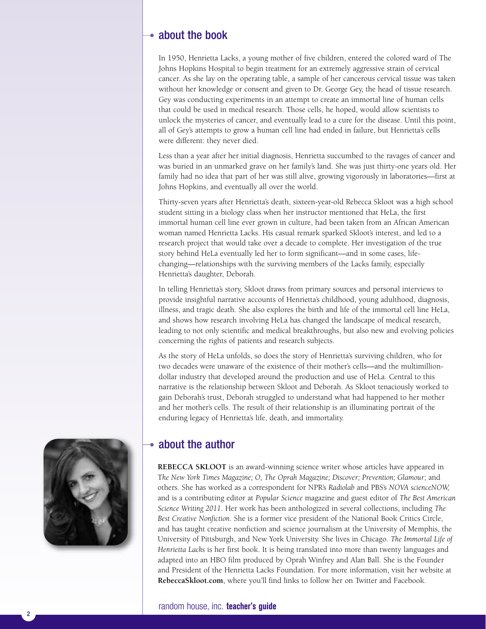### about the book

In 1950, Henrietta Lacks, a young mother of five children, entered the colored ward of The Johns Hopkins Hospital to begin treatment for an extremely aggressive strain of cervical cancer. As she lay on the operating table, a sample of her cancerous cervical tissue was taken without her knowledge or consent and given to Dr. George Gey, the head of tissue research. Gey was conducting experiments in an attempt to create an immortal line of human cells that could be used in medical research. Those cells, he hoped, would allow scientists to unlock the mysteries of cancer, and eventually lead to a cure for the disease. Until this point, all of Gey's attempts to grow a human cell line had ended in failure, but Henrietta's cells were different: they never died.

Less than a year after her initial diagnosis, Henrietta succumbed to the ravages of cancer and was buried in an unmarked grave on her family's land. She was just thirty-one years old. Her family had no idea that part of her was still alive, growing vigorously in laboratories—first at Johns Hopkins, and eventually all over the world.

Thirty-seven years after Henrietta's death, sixteen-year-old Rebecca Skloot was a high school student sitting in a biology class when her instructor mentioned that HeLa, the first immortal human cell line ever grown in culture, had been taken from an African American woman named Henrietta Lacks. His casual remark sparked Skloot's interest, and led to a research project that would take over a decade to complete. Her investigation of the true story behind HeLa eventually led her to form significant––and in some cases, lifechanging––relationships with the surviving members of the Lacks family, especially Henrietta's daughter, Deborah.

In telling Henrietta's story, Skloot draws from primary sources and personal interviews to provide insightful narrative accounts of Henrietta's childhood, young adulthood, diagnosis, illness, and tragic death. She also explores the birth and life of the immortal cell line HeLa, and shows how research involving HeLa has changed the landscape of medical research, leading to not only scientific and medical breakthroughs, but also new and evolving policies concerning the rights of patients and research subjects.

As the story of HeLa unfolds, so does the story of Henrietta's surviving children, who for two decades were unaware of the existence of their mother's cells—and the multimilliondollar industry that developed around the production and use of HeLa. Central to this narrative is the relationship between Skloot and Deborah. As Skloot tenaciously worked to gain Deborah's trust, Deborah struggled to understand what had happened to her mother and her mother's cells. The result of their relationship is an illuminating portrait of the enduring legacy of Henrietta's life, death, and immortality.



### • about the author

**REBECCA SKLOOT** is an award-winning science writer whose articles have appeared in T*he New York Times Magazine; O, The Oprah Magazine; Discover; Prevention; Glamour*; and others. She has worked as a correspondent for NPR's *Radiolab* and PBS's *NOVA scienceNOW,* and is a contributing editor at *Popular Science* magazine and guest editor of *The Best American Science Writing 2011*. Her work has been anthologized in several collections, including *The Best Creative Nonfiction*. She is a former vice president of the National Book Critics Circle, and has taught creative nonfiction and science journalism at the University of Memphis, the University of Pittsburgh, and New York University. She lives in Chicago. *The Immortal Life of Henrietta Lacks* is her first book. It is being translated into more than twenty languages and adapted into an HBO film produced by Oprah Winfrey and Alan Ball. She is the Founder and President of the Henrietta Lacks Foundation. For more information, visit her website at **RebeccaSkloot.com**, where you'll find links to follow her on Twitter and Facebook.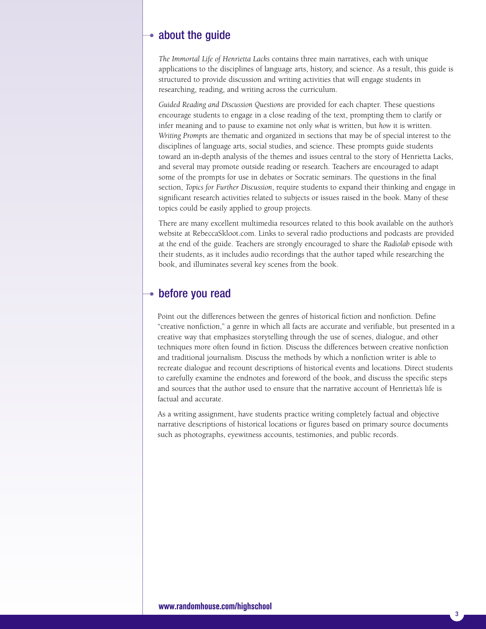### $\rightarrow$  about the guide

*The Immortal Life of Henrietta Lacks* contains three main narratives, each with unique applications to the disciplines of language arts, history, and science. As a result, this guide is structured to provide discussion and writing activities that will engage students in researching, reading, and writing across the curriculum.

*Guided Reading and Discussion Questions* are provided for each chapter. These questions encourage students to engage in a close reading of the text, prompting them to clarify or infer meaning and to pause to examine not only *what* is written, but *how* it is written. *Writing Prompts* are thematic and organized in sections that may be of special interest to the disciplines of language arts, social studies, and science. These prompts guide students toward an in-depth analysis of the themes and issues central to the story of Henrietta Lacks, and several may promote outside reading or research. Teachers are encouraged to adapt some of the prompts for use in debates or Socratic seminars. The questions in the final section, *Topics for Further Discussion*, require students to expand their thinking and engage in significant research activities related to subjects or issues raised in the book. Many of these topics could be easily applied to group projects.

There are many excellent multimedia resources related to this book available on the author's website at RebeccaSkloot.com. Links to several radio productions and podcasts are provided at the end of the guide. Teachers are strongly encouraged to share the *Radiolab* episode with their students, as it includes audio recordings that the author taped while researching the book, and illuminates several key scenes from the book.

### before you read

Point out the differences between the genres of historical fiction and nonfiction. Define "creative nonfiction," a genre in which all facts are accurate and verifiable, but presented in a creative way that emphasizes storytelling through the use of scenes, dialogue, and other techniques more often found in fiction. Discuss the differences between creative nonfiction and traditional journalism. Discuss the methods by which a nonfiction writer is able to recreate dialogue and recount descriptions of historical events and locations. Direct students to carefully examine the endnotes and foreword of the book, and discuss the specific steps and sources that the author used to ensure that the narrative account of Henrietta's life is factual and accurate.

As a writing assignment, have students practice writing completely factual and objective narrative descriptions of historical locations or figures based on primary source documents such as photographs, eyewitness accounts, testimonies, and public records.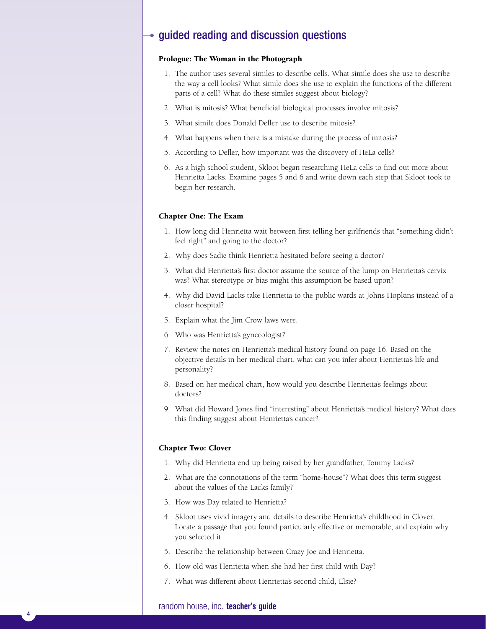### $\rightarrow$  guided reading and discussion questions

### **Prologue: The Woman in the Photograph**

- 1. The author uses several similes to describe cells. What simile does she use to describe the way a cell looks? What simile does she use to explain the functions of the different parts of a cell? What do these similes suggest about biology?
- 2. What is mitosis? What beneficial biological processes involve mitosis?
- 3. What simile does Donald Defler use to describe mitosis?
- 4. What happens when there is a mistake during the process of mitosis?
- 5. According to Defler, how important was the discovery of HeLa cells?
- 6. As a high school student, Skloot began researching HeLa cells to find out more about Henrietta Lacks. Examine pages 5 and 6 and write down each step that Skloot took to begin her research.

#### **Chapter One: The Exam**

- 1. How long did Henrietta wait between first telling her girlfriends that "something didn't feel right" and going to the doctor?
- 2. Why does Sadie think Henrietta hesitated before seeing a doctor?
- 3. What did Henrietta's first doctor assume the source of the lump on Henrietta's cervix was? What stereotype or bias might this assumption be based upon?
- 4. Why did David Lacks take Henrietta to the public wards at Johns Hopkins instead of a closer hospital?
- 5. Explain what the Jim Crow laws were.
- 6. Who was Henrietta's gynecologist?
- 7. Review the notes on Henrietta's medical history found on page 16. Based on the objective details in her medical chart, what can you infer about Henrietta's life and personality?
- 8. Based on her medical chart, how would you describe Henrietta's feelings about doctors?
- 9. What did Howard Jones find "interesting" about Henrietta's medical history? What does this finding suggest about Henrietta's cancer?

#### **Chapter Two: Clover**

- 1. Why did Henrietta end up being raised by her grandfather, Tommy Lacks?
- 2. What are the connotations of the term "home-house"? What does this term suggest about the values of the Lacks family?
- 3. How was Day related to Henrietta?
- 4. Skloot uses vivid imagery and details to describe Henrietta's childhood in Clover. Locate a passage that you found particularly effective or memorable, and explain why you selected it.
- 5. Describe the relationship between Crazy Joe and Henrietta.
- 6. How old was Henrietta when she had her first child with Day?
- 7. What was different about Henrietta's second child, Elsie?

### random house, inc. **teacher's guide**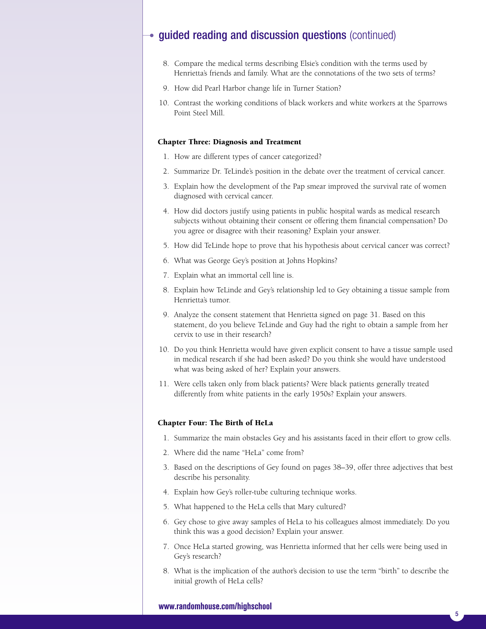- 8. Compare the medical terms describing Elsie's condition with the terms used by Henrietta's friends and family. What are the connotations of the two sets of terms?
- 9. How did Pearl Harbor change life in Turner Station?
- 10. Contrast the working conditions of black workers and white workers at the Sparrows Point Steel Mill.

#### **Chapter Three: Diagnosis and Treatment**

- 1. How are different types of cancer categorized?
- 2. Summarize Dr. TeLinde's position in the debate over the treatment of cervical cancer.
- 3. Explain how the development of the Pap smear improved the survival rate of women diagnosed with cervical cancer.
- 4. How did doctors justify using patients in public hospital wards as medical research subjects without obtaining their consent or offering them financial compensation? Do you agree or disagree with their reasoning? Explain your answer.
- 5. How did TeLinde hope to prove that his hypothesis about cervical cancer was correct?
- 6. What was George Gey's position at Johns Hopkins?
- 7. Explain what an immortal cell line is.
- 8. Explain how TeLinde and Gey's relationship led to Gey obtaining a tissue sample from Henrietta's tumor.
- 9. Analyze the consent statement that Henrietta signed on page 31. Based on this statement, do you believe TeLinde and Guy had the right to obtain a sample from her cervix to use in their research?
- 10. Do you think Henrietta would have given explicit consent to have a tissue sample used in medical research if she had been asked? Do you think she would have understood what was being asked of her? Explain your answers.
- 11. Were cells taken only from black patients? Were black patients generally treated differently from white patients in the early 1950s? Explain your answers.

### **Chapter Four: The Birth of HeLa**

- 1. Summarize the main obstacles Gey and his assistants faced in their effort to grow cells.
- 2. Where did the name "HeLa" come from?
- 3. Based on the descriptions of Gey found on pages 38–39, offer three adjectives that best describe his personality.
- 4. Explain how Gey's roller-tube culturing technique works.
- 5. What happened to the HeLa cells that Mary cultured?
- 6. Gey chose to give away samples of HeLa to his colleagues almost immediately. Do you think this was a good decision? Explain your answer.
- 7. Once HeLa started growing, was Henrietta informed that her cells were being used in Gey's research?
- 8. What is the implication of the author's decision to use the term "birth" to describe the initial growth of HeLa cells?

### **www.randomhouse.com/highschool**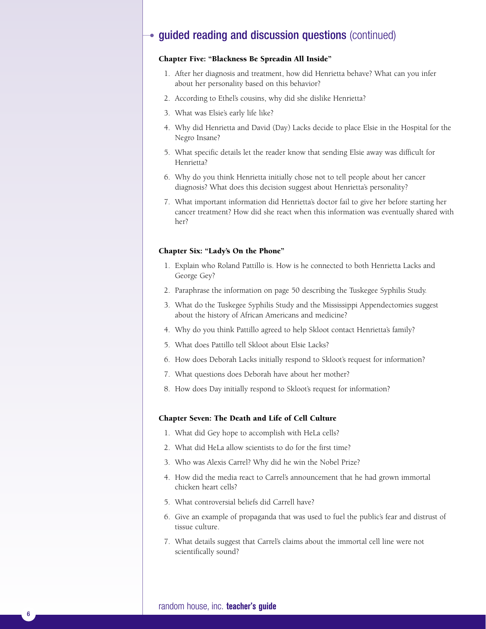### **Chapter Five: "Blackness Be Spreadin All Inside"**

- 1. After her diagnosis and treatment, how did Henrietta behave? What can you infer about her personality based on this behavior?
- 2. According to Ethel's cousins, why did she dislike Henrietta?
- 3. What was Elsie's early life like?
- 4. Why did Henrietta and David (Day) Lacks decide to place Elsie in the Hospital for the Negro Insane?
- 5. What specific details let the reader know that sending Elsie away was difficult for Henrietta?
- 6. Why do you think Henrietta initially chose not to tell people about her cancer diagnosis? What does this decision suggest about Henrietta's personality?
- 7. What important information did Henrietta's doctor fail to give her before starting her cancer treatment? How did she react when this information was eventually shared with her?

#### **Chapter Six: "Lady's On the Phone"**

- 1. Explain who Roland Pattillo is. How is he connected to both Henrietta Lacks and George Gey?
- 2. Paraphrase the information on page 50 describing the Tuskegee Syphilis Study.
- 3. What do the Tuskegee Syphilis Study and the Mississippi Appendectomies suggest about the history of African Americans and medicine?
- 4. Why do you think Pattillo agreed to help Skloot contact Henrietta's family?
- 5. What does Pattillo tell Skloot about Elsie Lacks?
- 6. How does Deborah Lacks initially respond to Skloot's request for information?
- 7. What questions does Deborah have about her mother?
- 8. How does Day initially respond to Skloot's request for information?

#### **Chapter Seven: The Death and Life of Cell Culture**

- 1. What did Gey hope to accomplish with HeLa cells?
- 2. What did HeLa allow scientists to do for the first time?
- 3. Who was Alexis Carrel? Why did he win the Nobel Prize?
- 4. How did the media react to Carrel's announcement that he had grown immortal chicken heart cells?
- 5. What controversial beliefs did Carrell have?
- 6. Give an example of propaganda that was used to fuel the public's fear and distrust of tissue culture.
- 7. What details suggest that Carrel's claims about the immortal cell line were not scientifically sound?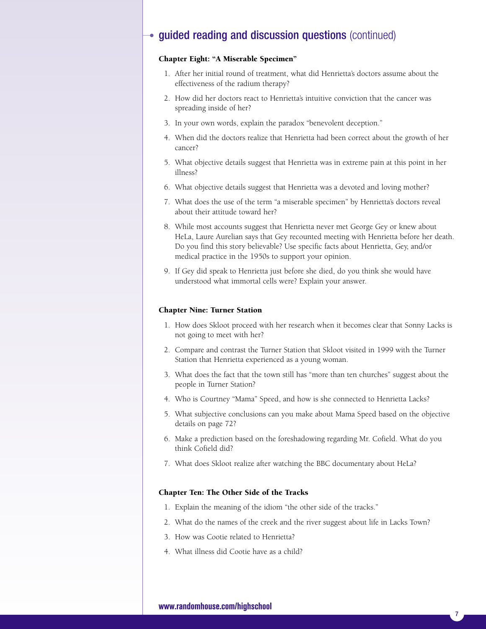### **Chapter Eight: "A Miserable Specimen"**

- 1. After her initial round of treatment, what did Henrietta's doctors assume about the effectiveness of the radium therapy?
- 2. How did her doctors react to Henrietta's intuitive conviction that the cancer was spreading inside of her?
- 3. In your own words, explain the paradox "benevolent deception."
- 4. When did the doctors realize that Henrietta had been correct about the growth of her cancer?
- 5. What objective details suggest that Henrietta was in extreme pain at this point in her illness?
- 6. What objective details suggest that Henrietta was a devoted and loving mother?
- 7. What does the use of the term "a miserable specimen" by Henrietta's doctors reveal about their attitude toward her?
- 8. While most accounts suggest that Henrietta never met George Gey or knew about HeLa, Laure Aurelian says that Gey recounted meeting with Henrietta before her death. Do you find this story believable? Use specific facts about Henrietta, Gey, and/or medical practice in the 1950s to support your opinion.
- 9. If Gey did speak to Henrietta just before she died, do you think she would have understood what immortal cells were? Explain your answer.

#### **Chapter Nine: Turner Station**

- 1. How does Skloot proceed with her research when it becomes clear that Sonny Lacks is not going to meet with her?
- 2. Compare and contrast the Turner Station that Skloot visited in 1999 with the Turner Station that Henrietta experienced as a young woman.
- 3. What does the fact that the town still has "more than ten churches" suggest about the people in Turner Station?
- 4. Who is Courtney "Mama" Speed, and how is she connected to Henrietta Lacks?
- 5. What subjective conclusions can you make about Mama Speed based on the objective details on page 72?
- 6. Make a prediction based on the foreshadowing regarding Mr. Cofield. What do you think Cofield did?
- 7. What does Skloot realize after watching the BBC documentary about HeLa?

### **Chapter Ten: The Other Side of the Tracks**

- 1. Explain the meaning of the idiom "the other side of the tracks."
- 2. What do the names of the creek and the river suggest about life in Lacks Town?
- 3. How was Cootie related to Henrietta?
- 4. What illness did Cootie have as a child?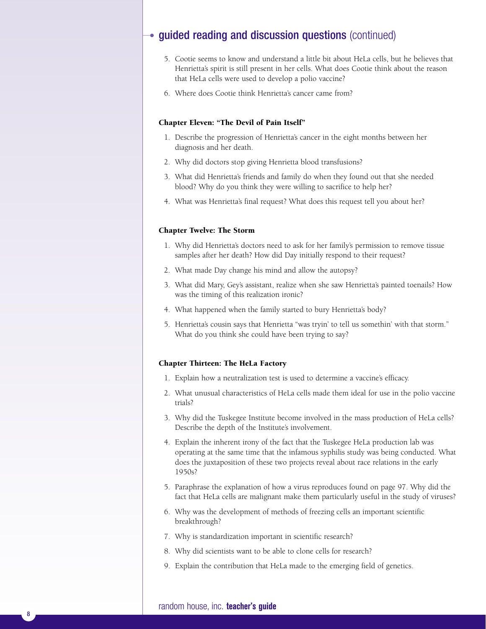- 5. Cootie seems to know and understand a little bit about HeLa cells, but he believes that Henrietta's spirit is still present in her cells. What does Cootie think about the reason that HeLa cells were used to develop a polio vaccine?
- 6. Where does Cootie think Henrietta's cancer came from?

### **Chapter Eleven: "The Devil of Pain Itself"**

- 1. Describe the progression of Henrietta's cancer in the eight months between her diagnosis and her death.
- 2. Why did doctors stop giving Henrietta blood transfusions?
- 3. What did Henrietta's friends and family do when they found out that she needed blood? Why do you think they were willing to sacrifice to help her?
- 4. What was Henrietta's final request? What does this request tell you about her?

#### **Chapter Twelve: The Storm**

- 1. Why did Henrietta's doctors need to ask for her family's permission to remove tissue samples after her death? How did Day initially respond to their request?
- 2. What made Day change his mind and allow the autopsy?
- 3. What did Mary, Gey's assistant, realize when she saw Henrietta's painted toenails? How was the timing of this realization ironic?
- 4. What happened when the family started to bury Henrietta's body?
- 5. Henrietta's cousin says that Henrietta "was tryin' to tell us somethin' with that storm." What do you think she could have been trying to say?

#### **Chapter Thirteen: The HeLa Factory**

- 1. Explain how a neutralization test is used to determine a vaccine's efficacy.
- 2. What unusual characteristics of HeLa cells made them ideal for use in the polio vaccine trials?
- 3. Why did the Tuskegee Institute become involved in the mass production of HeLa cells? Describe the depth of the Institute's involvement.
- 4. Explain the inherent irony of the fact that the Tuskegee HeLa production lab was operating at the same time that the infamous syphilis study was being conducted. What does the juxtaposition of these two projects reveal about race relations in the early 1950s?
- 5. Paraphrase the explanation of how a virus reproduces found on page 97. Why did the fact that HeLa cells are malignant make them particularly useful in the study of viruses?
- 6. Why was the development of methods of freezing cells an important scientific breakthrough?
- 7. Why is standardization important in scientific research?
- 8. Why did scientists want to be able to clone cells for research?
- 9. Explain the contribution that HeLa made to the emerging field of genetics.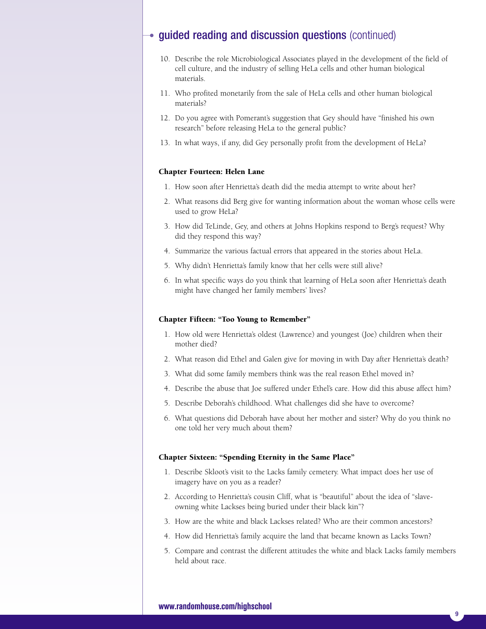- 10. Describe the role Microbiological Associates played in the development of the field of cell culture, and the industry of selling HeLa cells and other human biological materials.
- 11. Who profited monetarily from the sale of HeLa cells and other human biological materials?
- 12. Do you agree with Pomerant's suggestion that Gey should have "finished his own research" before releasing HeLa to the general public?
- 13. In what ways, if any, did Gey personally profit from the development of HeLa?

### **Chapter Fourteen: Helen Lane**

- 1. How soon after Henrietta's death did the media attempt to write about her?
- 2. What reasons did Berg give for wanting information about the woman whose cells were used to grow HeLa?
- 3. How did TeLinde, Gey, and others at Johns Hopkins respond to Berg's request? Why did they respond this way?
- 4. Summarize the various factual errors that appeared in the stories about HeLa.
- 5. Why didn't Henrietta's family know that her cells were still alive?
- 6. In what specific ways do you think that learning of HeLa soon after Henrietta's death might have changed her family members' lives?

### **Chapter Fifteen: "Too Young to Remember"**

- 1. How old were Henrietta's oldest (Lawrence) and youngest (Joe) children when their mother died?
- 2. What reason did Ethel and Galen give for moving in with Day after Henrietta's death?
- 3. What did some family members think was the real reason Ethel moved in?
- 4. Describe the abuse that Joe suffered under Ethel's care. How did this abuse affect him?
- 5. Describe Deborah's childhood. What challenges did she have to overcome?
- 6. What questions did Deborah have about her mother and sister? Why do you think no one told her very much about them?

#### **Chapter Sixteen: "Spending Eternity in the Same Place"**

- 1. Describe Skloot's visit to the Lacks family cemetery. What impact does her use of imagery have on you as a reader?
- 2. According to Henrietta's cousin Cliff, what is "beautiful" about the idea of "slaveowning white Lackses being buried under their black kin"?
- 3. How are the white and black Lackses related? Who are their common ancestors?
- 4. How did Henrietta's family acquire the land that became known as Lacks Town?
- 5. Compare and contrast the different attitudes the white and black Lacks family members held about race.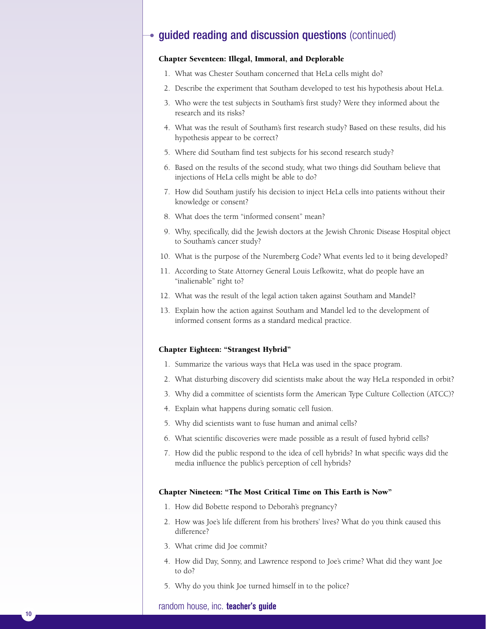### **Chapter Seventeen: Illegal, Immoral, and Deplorable**

- 1. What was Chester Southam concerned that HeLa cells might do?
- 2. Describe the experiment that Southam developed to test his hypothesis about HeLa.
- 3. Who were the test subjects in Southam's first study? Were they informed about the research and its risks?
- 4. What was the result of Southam's first research study? Based on these results, did his hypothesis appear to be correct?
- 5. Where did Southam find test subjects for his second research study?
- 6. Based on the results of the second study, what two things did Southam believe that injections of HeLa cells might be able to do?
- 7. How did Southam justify his decision to inject HeLa cells into patients without their knowledge or consent?
- 8. What does the term "informed consent" mean?
- 9. Why, specifically, did the Jewish doctors at the Jewish Chronic Disease Hospital object to Southam's cancer study?
- 10. What is the purpose of the Nuremberg Code? What events led to it being developed?
- 11. According to State Attorney General Louis Lefkowitz, what do people have an "inalienable" right to?
- 12. What was the result of the legal action taken against Southam and Mandel?
- 13. Explain how the action against Southam and Mandel led to the development of informed consent forms as a standard medical practice.

#### **Chapter Eighteen: "Strangest Hybrid"**

- 1. Summarize the various ways that HeLa was used in the space program.
- 2. What disturbing discovery did scientists make about the way HeLa responded in orbit?
- 3. Why did a committee of scientists form the American Type Culture Collection (ATCC)?
- 4. Explain what happens during somatic cell fusion.
- 5. Why did scientists want to fuse human and animal cells?
- 6. What scientific discoveries were made possible as a result of fused hybrid cells?
- 7. How did the public respond to the idea of cell hybrids? In what specific ways did the media influence the public's perception of cell hybrids?

#### **Chapter Nineteen: "The Most Critical Time on This Earth is Now"**

- 1. How did Bobette respond to Deborah's pregnancy?
- 2. How was Joe's life different from his brothers' lives? What do you think caused this difference?
- 3. What crime did Joe commit?
- 4. How did Day, Sonny, and Lawrence respond to Joe's crime? What did they want Joe to do?
- 5. Why do you think Joe turned himself in to the police?

### random house, inc. **teacher's guide**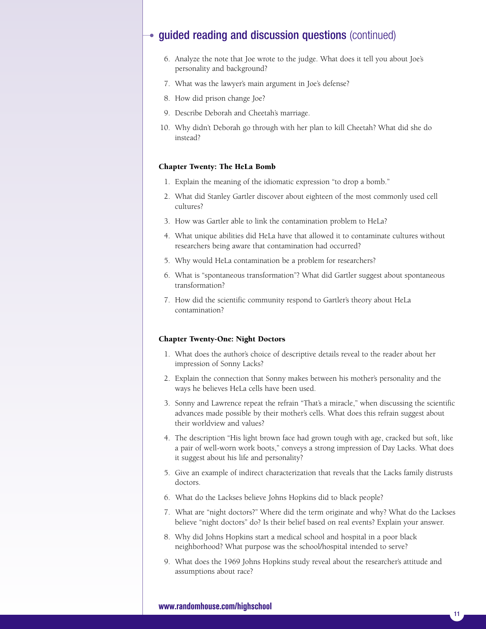- 6. Analyze the note that Joe wrote to the judge. What does it tell you about Joe's personality and background?
- 7. What was the lawyer's main argument in Joe's defense?
- 8. How did prison change Joe?
- 9. Describe Deborah and Cheetah's marriage.
- 10. Why didn't Deborah go through with her plan to kill Cheetah? What did she do instead?

#### **Chapter Twenty: The HeLa Bomb**

- 1. Explain the meaning of the idiomatic expression "to drop a bomb."
- 2. What did Stanley Gartler discover about eighteen of the most commonly used cell cultures?
- 3. How was Gartler able to link the contamination problem to HeLa?
- 4. What unique abilities did HeLa have that allowed it to contaminate cultures without researchers being aware that contamination had occurred?
- 5. Why would HeLa contamination be a problem for researchers?
- 6. What is "spontaneous transformation"? What did Gartler suggest about spontaneous transformation?
- 7. How did the scientific community respond to Gartler's theory about HeLa contamination?

#### **Chapter Twenty-One: Night Doctors**

- 1. What does the author's choice of descriptive details reveal to the reader about her impression of Sonny Lacks?
- 2. Explain the connection that Sonny makes between his mother's personality and the ways he believes HeLa cells have been used.
- 3. Sonny and Lawrence repeat the refrain "That's a miracle," when discussing the scientific advances made possible by their mother's cells. What does this refrain suggest about their worldview and values?
- 4. The description "His light brown face had grown tough with age, cracked but soft, like a pair of well-worn work boots," conveys a strong impression of Day Lacks. What does it suggest about his life and personality?
- 5. Give an example of indirect characterization that reveals that the Lacks family distrusts doctors.
- 6. What do the Lackses believe Johns Hopkins did to black people?
- 7. What are "night doctors?" Where did the term originate and why? What do the Lackses believe "night doctors" do? Is their belief based on real events? Explain your answer.
- 8. Why did Johns Hopkins start a medical school and hospital in a poor black neighborhood? What purpose was the school/hospital intended to serve?
- 9. What does the 1969 Johns Hopkins study reveal about the researcher's attitude and assumptions about race?

### **www.randomhouse.com/highschool**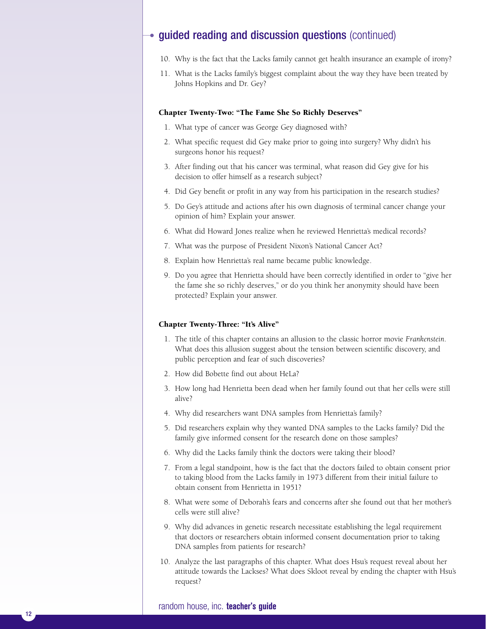- 10. Why is the fact that the Lacks family cannot get health insurance an example of irony?
- 11. What is the Lacks family's biggest complaint about the way they have been treated by Johns Hopkins and Dr. Gey?

#### **Chapter Twenty-Two: "The Fame She So Richly Deserves"**

- 1. What type of cancer was George Gey diagnosed with?
- 2. What specific request did Gey make prior to going into surgery? Why didn't his surgeons honor his request?
- 3. After finding out that his cancer was terminal, what reason did Gey give for his decision to offer himself as a research subject?
- 4. Did Gey benefit or profit in any way from his participation in the research studies?
- 5. Do Gey's attitude and actions after his own diagnosis of terminal cancer change your opinion of him? Explain your answer.
- 6. What did Howard Jones realize when he reviewed Henrietta's medical records?
- 7. What was the purpose of President Nixon's National Cancer Act?
- 8. Explain how Henrietta's real name became public knowledge.
- 9. Do you agree that Henrietta should have been correctly identified in order to "give her the fame she so richly deserves," or do you think her anonymity should have been protected? Explain your answer.

#### **Chapter Twenty-Three: "It's Alive"**

- 1. The title of this chapter contains an allusion to the classic horror movie *Frankenstein*. What does this allusion suggest about the tension between scientific discovery, and public perception and fear of such discoveries?
- 2. How did Bobette find out about HeLa?
- 3. How long had Henrietta been dead when her family found out that her cells were still alive?
- 4. Why did researchers want DNA samples from Henrietta's family?
- 5. Did researchers explain why they wanted DNA samples to the Lacks family? Did the family give informed consent for the research done on those samples?
- 6. Why did the Lacks family think the doctors were taking their blood?
- 7. From a legal standpoint, how is the fact that the doctors failed to obtain consent prior to taking blood from the Lacks family in 1973 different from their initial failure to obtain consent from Henrietta in 1951?
- 8. What were some of Deborah's fears and concerns after she found out that her mother's cells were still alive?
- 9. Why did advances in genetic research necessitate establishing the legal requirement that doctors or researchers obtain informed consent documentation prior to taking DNA samples from patients for research?
- 10. Analyze the last paragraphs of this chapter. What does Hsu's request reveal about her attitude towards the Lackses? What does Skloot reveal by ending the chapter with Hsu's request?

### random house, inc. **teacher's guide**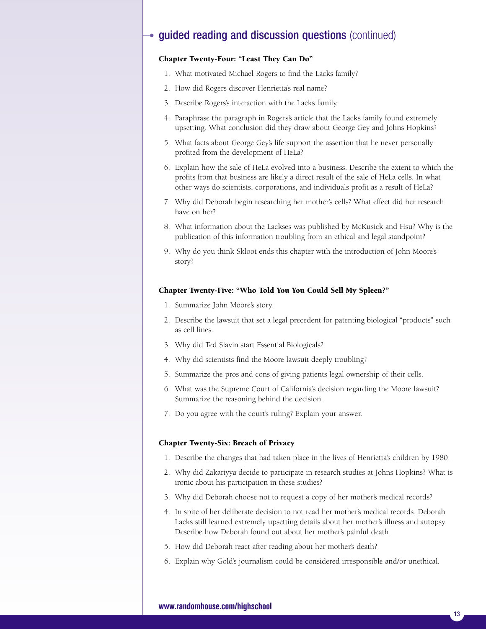### **Chapter Twenty-Four: "Least They Can Do"**

- 1. What motivated Michael Rogers to find the Lacks family?
- 2. How did Rogers discover Henrietta's real name?
- 3. Describe Rogers's interaction with the Lacks family.
- 4. Paraphrase the paragraph in Rogers's article that the Lacks family found extremely upsetting. What conclusion did they draw about George Gey and Johns Hopkins?
- 5. What facts about George Gey's life support the assertion that he never personally profited from the development of HeLa?
- 6. Explain how the sale of HeLa evolved into a business. Describe the extent to which the profits from that business are likely a direct result of the sale of HeLa cells. In what other ways do scientists, corporations, and individuals profit as a result of HeLa?
- 7. Why did Deborah begin researching her mother's cells? What effect did her research have on her?
- 8. What information about the Lackses was published by McKusick and Hsu? Why is the publication of this information troubling from an ethical and legal standpoint?
- 9. Why do you think Skloot ends this chapter with the introduction of John Moore's story?

### **Chapter Twenty-Five: "Who Told You You Could Sell My Spleen?"**

- 1. Summarize John Moore's story.
- 2. Describe the lawsuit that set a legal precedent for patenting biological "products" such as cell lines.
- 3. Why did Ted Slavin start Essential Biologicals?
- 4. Why did scientists find the Moore lawsuit deeply troubling?
- 5. Summarize the pros and cons of giving patients legal ownership of their cells.
- 6. What was the Supreme Court of California's decision regarding the Moore lawsuit? Summarize the reasoning behind the decision.
- 7. Do you agree with the court's ruling? Explain your answer.

### **Chapter Twenty-Six: Breach of Privacy**

- 1. Describe the changes that had taken place in the lives of Henrietta's children by 1980.
- 2. Why did Zakariyya decide to participate in research studies at Johns Hopkins? What is ironic about his participation in these studies?
- 3. Why did Deborah choose not to request a copy of her mother's medical records?
- 4. In spite of her deliberate decision to not read her mother's medical records, Deborah Lacks still learned extremely upsetting details about her mother's illness and autopsy. Describe how Deborah found out about her mother's painful death.
- 5. How did Deborah react after reading about her mother's death?
- 6. Explain why Gold's journalism could be considered irresponsible and/or unethical.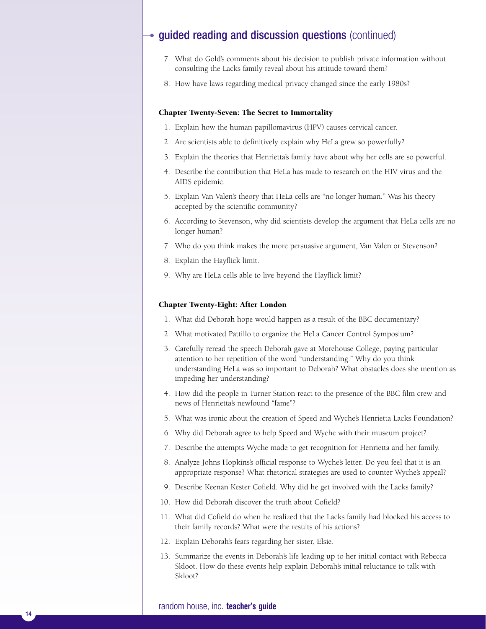- 7. What do Gold's comments about his decision to publish private information without consulting the Lacks family reveal about his attitude toward them?
- 8. How have laws regarding medical privacy changed since the early 1980s?

#### **Chapter Twenty-Seven: The Secret to Immortality**

- 1. Explain how the human papillomavirus (HPV) causes cervical cancer.
- 2. Are scientists able to definitively explain why HeLa grew so powerfully?
- 3. Explain the theories that Henrietta's family have about why her cells are so powerful.
- 4. Describe the contribution that HeLa has made to research on the HIV virus and the AIDS epidemic.
- 5. Explain Van Valen's theory that HeLa cells are "no longer human." Was his theory accepted by the scientific community?
- 6. According to Stevenson, why did scientists develop the argument that HeLa cells are no longer human?
- 7. Who do you think makes the more persuasive argument, Van Valen or Stevenson?
- 8. Explain the Hayflick limit.
- 9. Why are HeLa cells able to live beyond the Hayflick limit?

#### **Chapter Twenty-Eight: After London**

- 1. What did Deborah hope would happen as a result of the BBC documentary?
- 2. What motivated Pattillo to organize the HeLa Cancer Control Symposium?
- 3. Carefully reread the speech Deborah gave at Morehouse College, paying particular attention to her repetition of the word "understanding." Why do you think understanding HeLa was so important to Deborah? What obstacles does she mention as impeding her understanding?
- 4. How did the people in Turner Station react to the presence of the BBC film crew and news of Henrietta's newfound "fame"?
- 5. What was ironic about the creation of Speed and Wyche's Henrietta Lacks Foundation?
- 6. Why did Deborah agree to help Speed and Wyche with their museum project?
- 7. Describe the attempts Wyche made to get recognition for Henrietta and her family.
- 8. Analyze Johns Hopkins's official response to Wyche's letter. Do you feel that it is an appropriate response? What rhetorical strategies are used to counter Wyche's appeal?
- 9. Describe Keenan Kester Cofield. Why did he get involved with the Lacks family?
- 10. How did Deborah discover the truth about Cofield?
- 11. What did Cofield do when he realized that the Lacks family had blocked his access to their family records? What were the results of his actions?
- 12. Explain Deborah's fears regarding her sister, Elsie.
- 13. Summarize the events in Deborah's life leading up to her initial contact with Rebecca Skloot. How do these events help explain Deborah's initial reluctance to talk with Skloot?

#### random house, inc. **teacher's guide**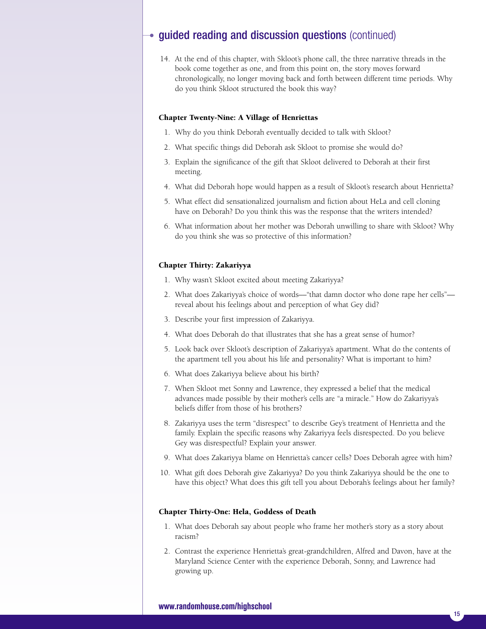14. At the end of this chapter, with Skloot's phone call, the three narrative threads in the book come together as one, and from this point on, the story moves forward chronologically, no longer moving back and forth between different time periods. Why do you think Skloot structured the book this way?

### **Chapter Twenty-Nine: A Village of Henriettas**

- 1. Why do you think Deborah eventually decided to talk with Skloot?
- 2. What specific things did Deborah ask Skloot to promise she would do?
- 3. Explain the significance of the gift that Skloot delivered to Deborah at their first meeting.
- 4. What did Deborah hope would happen as a result of Skloot's research about Henrietta?
- 5. What effect did sensationalized journalism and fiction about HeLa and cell cloning have on Deborah? Do you think this was the response that the writers intended?
- 6. What information about her mother was Deborah unwilling to share with Skloot? Why do you think she was so protective of this information?

#### **Chapter Thirty: Zakariyya**

- 1. Why wasn't Skloot excited about meeting Zakariyya?
- 2. What does Zakariyya's choice of words––"that damn doctor who done rape her cells" reveal about his feelings about and perception of what Gey did?
- 3. Describe your first impression of Zakariyya.
- 4. What does Deborah do that illustrates that she has a great sense of humor?
- 5. Look back over Skloot's description of Zakariyya's apartment. What do the contents of the apartment tell you about his life and personality? What is important to him?
- 6. What does Zakariyya believe about his birth?
- 7. When Skloot met Sonny and Lawrence, they expressed a belief that the medical advances made possible by their mother's cells are "a miracle." How do Zakariyya's beliefs differ from those of his brothers?
- 8. Zakariyya uses the term "disrespect" to describe Gey's treatment of Henrietta and the family. Explain the specific reasons why Zakariyya feels disrespected. Do you believe Gey was disrespectful? Explain your answer.
- 9. What does Zakariyya blame on Henrietta's cancer cells? Does Deborah agree with him?
- 10. What gift does Deborah give Zakariyya? Do you think Zakariyya should be the one to have this object? What does this gift tell you about Deborah's feelings about her family?

### **Chapter Thirty-One: Hela, Goddess of Death**

- 1. What does Deborah say about people who frame her mother's story as a story about racism?
- 2. Contrast the experience Henrietta's great-grandchildren, Alfred and Davon, have at the Maryland Science Center with the experience Deborah, Sonny, and Lawrence had growing up.

### **www.randomhouse.com/highschool**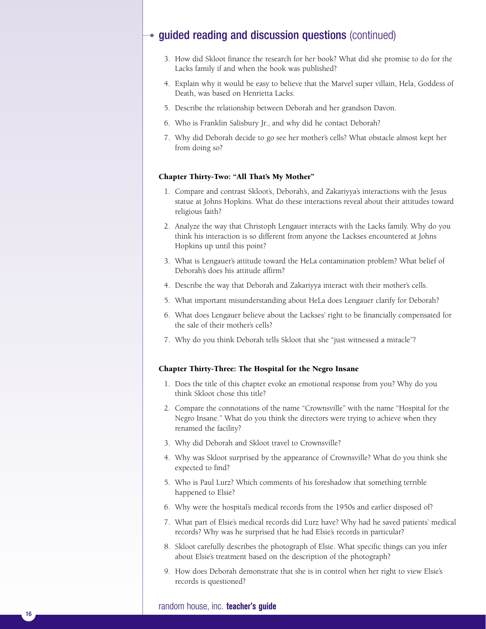- 3. How did Skloot finance the research for her book? What did she promise to do for the Lacks family if and when the book was published?
- 4. Explain why it would be easy to believe that the Marvel super villain, Hela, Goddess of Death, was based on Henrietta Lacks.
- 5. Describe the relationship between Deborah and her grandson Davon.
- 6. Who is Franklin Salisbury Jr., and why did he contact Deborah?
- 7. Why did Deborah decide to go see her mother's cells? What obstacle almost kept her from doing so?

### **Chapter Thirty-Two: "All That's My Mother"**

- 1. Compare and contrast Skloot's, Deborah's, and Zakariyya's interactions with the Jesus statue at Johns Hopkins. What do these interactions reveal about their attitudes toward religious faith?
- 2. Analyze the way that Christoph Lengauer interacts with the Lacks family. Why do you think his interaction is so different from anyone the Lackses encountered at Johns Hopkins up until this point?
- 3. What is Lengauer's attitude toward the HeLa contamination problem? What belief of Deborah's does his attitude affirm?
- 4. Describe the way that Deborah and Zakariyya interact with their mother's cells.
- 5. What important misunderstanding about HeLa does Lengauer clarify for Deborah?
- 6. What does Lengauer believe about the Lackses' right to be financially compensated for the sale of their mother's cells?
- 7. Why do you think Deborah tells Skloot that she "just witnessed a miracle"?

### **Chapter Thirty-Three: The Hospital for the Negro Insane**

- 1. Does the title of this chapter evoke an emotional response from you? Why do you think Skloot chose this title?
- 2. Compare the connotations of the name "Crownsville" with the name "Hospital for the Negro Insane." What do you think the directors were trying to achieve when they renamed the facility?
- 3. Why did Deborah and Skloot travel to Crownsville?
- 4. Why was Skloot surprised by the appearance of Crownsville? What do you think she expected to find?
- 5. Who is Paul Lurz? Which comments of his foreshadow that something terrible happened to Elsie?
- 6. Why were the hospital's medical records from the 1950s and earlier disposed of?
- 7. What part of Elsie's medical records did Lurz have? Why had he saved patients' medical records? Why was he surprised that he had Elsie's records in particular?
- 8. Skloot carefully describes the photograph of Elsie. What specific things can you infer about Elsie's treatment based on the description of the photograph?
- 9. How does Deborah demonstrate that she is in control when her right to view Elsie's records is questioned?

### random house, inc. **teacher's guide**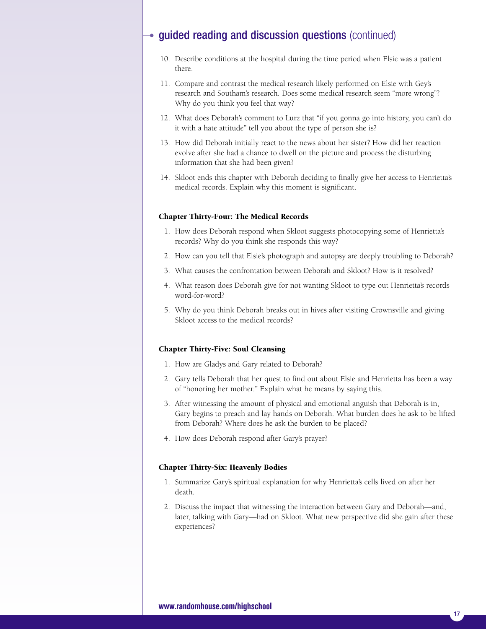- 10. Describe conditions at the hospital during the time period when Elsie was a patient there.
- 11. Compare and contrast the medical research likely performed on Elsie with Gey's research and Southam's research. Does some medical research seem "more wrong"? Why do you think you feel that way?
- 12. What does Deborah's comment to Lurz that "if you gonna go into history, you can't do it with a hate attitude" tell you about the type of person she is?
- 13. How did Deborah initially react to the news about her sister? How did her reaction evolve after she had a chance to dwell on the picture and process the disturbing information that she had been given?
- 14. Skloot ends this chapter with Deborah deciding to finally give her access to Henrietta's medical records. Explain why this moment is significant.

### **Chapter Thirty-Four: The Medical Records**

- 1. How does Deborah respond when Skloot suggests photocopying some of Henrietta's records? Why do you think she responds this way?
- 2. How can you tell that Elsie's photograph and autopsy are deeply troubling to Deborah?
- 3. What causes the confrontation between Deborah and Skloot? How is it resolved?
- 4. What reason does Deborah give for not wanting Skloot to type out Henrietta's records word-for-word?
- 5. Why do you think Deborah breaks out in hives after visiting Crownsville and giving Skloot access to the medical records?

### **Chapter Thirty-Five: Soul Cleansing**

- 1. How are Gladys and Gary related to Deborah?
- 2. Gary tells Deborah that her quest to find out about Elsie and Henrietta has been a way of "honoring her mother." Explain what he means by saying this.
- 3. After witnessing the amount of physical and emotional anguish that Deborah is in, Gary begins to preach and lay hands on Deborah. What burden does he ask to be lifted from Deborah? Where does he ask the burden to be placed?
- 4. How does Deborah respond after Gary's prayer?

### **Chapter Thirty-Six: Heavenly Bodies**

- 1. Summarize Gary's spiritual explanation for why Henrietta's cells lived on after her death.
- 2. Discuss the impact that witnessing the interaction between Gary and Deborah––and, later, talking with Gary––had on Skloot. What new perspective did she gain after these experiences?

### **www.randomhouse.com/highschool**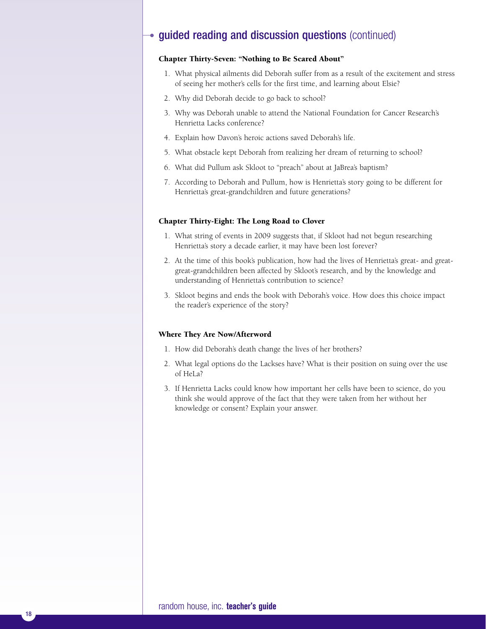### **Chapter Thirty-Seven: "Nothing to Be Scared About"**

- 1. What physical ailments did Deborah suffer from as a result of the excitement and stress of seeing her mother's cells for the first time, and learning about Elsie?
- 2. Why did Deborah decide to go back to school?
- 3. Why was Deborah unable to attend the National Foundation for Cancer Research's Henrietta Lacks conference?
- 4. Explain how Davon's heroic actions saved Deborah's life.
- 5. What obstacle kept Deborah from realizing her dream of returning to school?
- 6. What did Pullum ask Skloot to "preach" about at JaBrea's baptism?
- 7. According to Deborah and Pullum, how is Henrietta's story going to be different for Henrietta's great-grandchildren and future generations?

### **Chapter Thirty-Eight: The Long Road to Clover**

- 1. What string of events in 2009 suggests that, if Skloot had not begun researching Henrietta's story a decade earlier, it may have been lost forever?
- 2. At the time of this book's publication, how had the lives of Henrietta's great- and greatgreat-grandchildren been affected by Skloot's research, and by the knowledge and understanding of Henrietta's contribution to science?
- 3. Skloot begins and ends the book with Deborah's voice. How does this choice impact the reader's experience of the story?

#### **Where They Are Now/Afterword**

- 1. How did Deborah's death change the lives of her brothers?
- 2. What legal options do the Lackses have? What is their position on suing over the use of HeLa?
- 3. If Henrietta Lacks could know how important her cells have been to science, do you think she would approve of the fact that they were taken from her without her knowledge or consent? Explain your answer.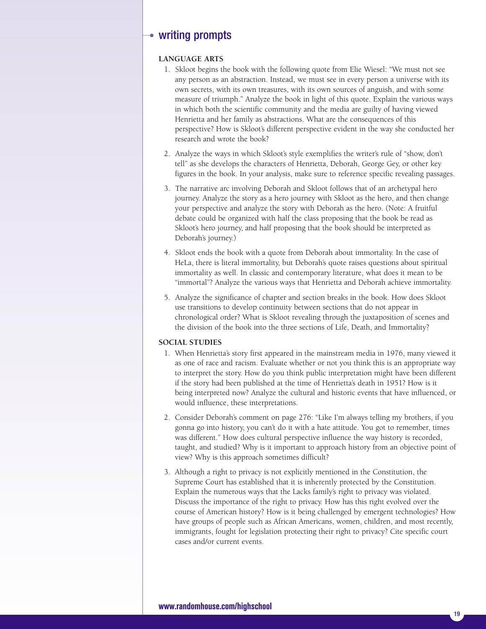### $\rightarrow$  writing prompts

### **LANGUAGE ARTS**

- 1. Skloot begins the book with the following quote from Elie Wiesel: "We must not see any person as an abstraction. Instead, we must see in every person a universe with its own secrets, with its own treasures, with its own sources of anguish, and with some measure of triumph." Analyze the book in light of this quote. Explain the various ways in which both the scientific community and the media are guilty of having viewed Henrietta and her family as abstractions. What are the consequences of this perspective? How is Skloot's different perspective evident in the way she conducted her research and wrote the book?
- 2. Analyze the ways in which Skloot's style exemplifies the writer's rule of "show, don't tell" as she develops the characters of Henrietta, Deborah, George Gey, or other key figures in the book. In your analysis, make sure to reference specific revealing passages.
- 3. The narrative arc involving Deborah and Skloot follows that of an archetypal hero journey. Analyze the story as a hero journey with Skloot as the hero, and then change your perspective and analyze the story with Deborah as the hero. (Note: A fruitful debate could be organized with half the class proposing that the book be read as Skloot's hero journey, and half proposing that the book should be interpreted as Deborah's journey.)
- 4. Skloot ends the book with a quote from Deborah about immortality. In the case of HeLa, there is literal immortality, but Deborah's quote raises questions about spiritual immortality as well. In classic and contemporary literature, what does it mean to be "immortal"? Analyze the various ways that Henrietta and Deborah achieve immortality.
- 5. Analyze the significance of chapter and section breaks in the book. How does Skloot use transitions to develop continuity between sections that do not appear in chronological order? What is Skloot revealing through the juxtaposition of scenes and the division of the book into the three sections of Life, Death, and Immortality?

### **SOCIAL STUDIES**

- 1. When Henrietta's story first appeared in the mainstream media in 1976, many viewed it as one of race and racism. Evaluate whether or not you think this is an appropriate way to interpret the story. How do you think public interpretation might have been different if the story had been published at the time of Henrietta's death in 1951? How is it being interpreted now? Analyze the cultural and historic events that have influenced, or would influence, these interpretations.
- 2. Consider Deborah's comment on page 276: "Like I'm always telling my brothers, if you gonna go into history, you can't do it with a hate attitude. You got to remember, times was different." How does cultural perspective influence the way history is recorded, taught, and studied? Why is it important to approach history from an objective point of view? Why is this approach sometimes difficult?
- 3. Although a right to privacy is not explicitly mentioned in the Constitution, the Supreme Court has established that it is inherently protected by the Constitution. Explain the numerous ways that the Lacks family's right to privacy was violated. Discuss the importance of the right to privacy. How has this right evolved over the course of American history? How is it being challenged by emergent technologies? How have groups of people such as African Americans, women, children, and most recently, immigrants, fought for legislation protecting their right to privacy? Cite specific court cases and/or current events.

### **www.randomhouse.com/highschool**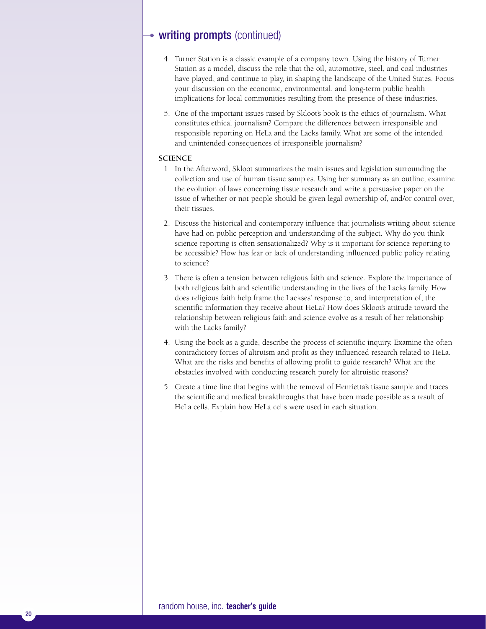### • writing prompts (continued)

- 4. Turner Station is a classic example of a company town. Using the history of Turner Station as a model, discuss the role that the oil, automotive, steel, and coal industries have played, and continue to play, in shaping the landscape of the United States. Focus your discussion on the economic, environmental, and long-term public health implications for local communities resulting from the presence of these industries.
- 5. One of the important issues raised by Skloot's book is the ethics of journalism. What constitutes ethical journalism? Compare the differences between irresponsible and responsible reporting on HeLa and the Lacks family. What are some of the intended and unintended consequences of irresponsible journalism?

### **SCIENCE**

- 1. In the Afterword, Skloot summarizes the main issues and legislation surrounding the collection and use of human tissue samples. Using her summary as an outline, examine the evolution of laws concerning tissue research and write a persuasive paper on the issue of whether or not people should be given legal ownership of, and/or control over, their tissues.
- 2. Discuss the historical and contemporary influence that journalists writing about science have had on public perception and understanding of the subject. Why do you think science reporting is often sensationalized? Why is it important for science reporting to be accessible? How has fear or lack of understanding influenced public policy relating to science?
- 3. There is often a tension between religious faith and science. Explore the importance of both religious faith and scientific understanding in the lives of the Lacks family. How does religious faith help frame the Lackses' response to, and interpretation of, the scientific information they receive about HeLa? How does Skloot's attitude toward the relationship between religious faith and science evolve as a result of her relationship with the Lacks family?
- 4. Using the book as a guide, describe the process of scientific inquiry. Examine the often contradictory forces of altruism and profit as they influenced research related to HeLa. What are the risks and benefits of allowing profit to guide research? What are the obstacles involved with conducting research purely for altruistic reasons?
- 5. Create a time line that begins with the removal of Henrietta's tissue sample and traces the scientific and medical breakthroughs that have been made possible as a result of HeLa cells. Explain how HeLa cells were used in each situation.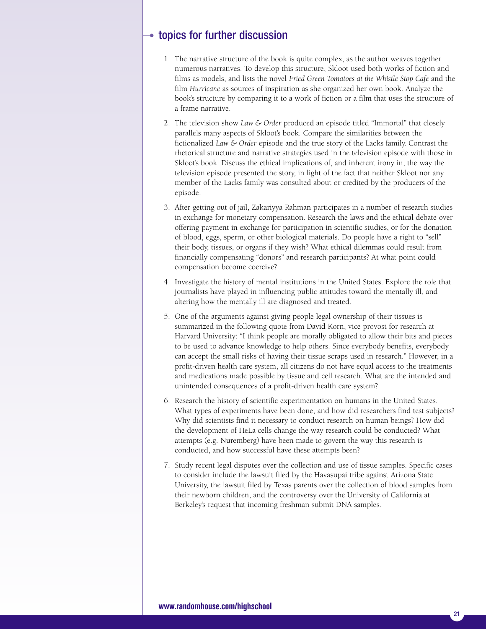### $\rightarrow$  topics for further discussion

- 1. The narrative structure of the book is quite complex, as the author weaves together numerous narratives. To develop this structure, Skloot used both works of fiction and films as models, and lists the novel *Fried Green Tomatoes at the Whistle Stop Cafe* and the film *Hurricane* as sources of inspiration as she organized her own book. Analyze the book's structure by comparing it to a work of fiction or a film that uses the structure of a frame narrative.
- 2. The television show *Law & Order* produced an episode titled "Immortal" that closely parallels many aspects of Skloot's book. Compare the similarities between the fictionalized *Law & Order* episode and the true story of the Lacks family. Contrast the rhetorical structure and narrative strategies used in the television episode with those in Skloot's book. Discuss the ethical implications of, and inherent irony in, the way the television episode presented the story, in light of the fact that neither Skloot nor any member of the Lacks family was consulted about or credited by the producers of the episode.
- 3. After getting out of jail, Zakariyya Rahman participates in a number of research studies in exchange for monetary compensation. Research the laws and the ethical debate over offering payment in exchange for participation in scientific studies, or for the donation of blood, eggs, sperm, or other biological materials. Do people have a right to "sell" their body, tissues, or organs if they wish? What ethical dilemmas could result from financially compensating "donors" and research participants? At what point could compensation become coercive?
- 4. Investigate the history of mental institutions in the United States. Explore the role that journalists have played in influencing public attitudes toward the mentally ill, and altering how the mentally ill are diagnosed and treated.
- 5. One of the arguments against giving people legal ownership of their tissues is summarized in the following quote from David Korn, vice provost for research at Harvard University: "I think people are morally obligated to allow their bits and pieces to be used to advance knowledge to help others. Since everybody benefits, everybody can accept the small risks of having their tissue scraps used in research." However, in a profit-driven health care system, all citizens do not have equal access to the treatments and medications made possible by tissue and cell research. What are the intended and unintended consequences of a profit-driven health care system?
- 6. Research the history of scientific experimentation on humans in the United States. What types of experiments have been done, and how did researchers find test subjects? Why did scientists find it necessary to conduct research on human beings? How did the development of HeLa cells change the way research could be conducted? What attempts (e.g. Nuremberg) have been made to govern the way this research is conducted, and how successful have these attempts been?
- 7. Study recent legal disputes over the collection and use of tissue samples. Specific cases to consider include the lawsuit filed by the Havasupai tribe against Arizona State University, the lawsuit filed by Texas parents over the collection of blood samples from their newborn children, and the controversy over the University of California at Berkeley's request that incoming freshman submit DNA samples.

### **www.randomhouse.com/highschool**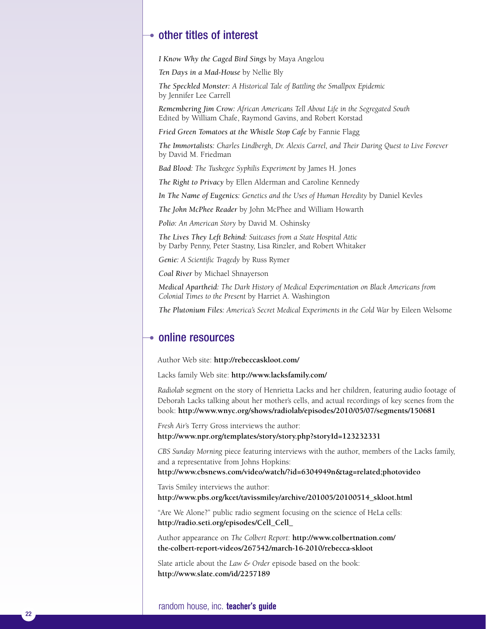### $\rightarrow$  other titles of interest

*I Know Why the Caged Bird Sings* by Maya Angelou

*Ten Days in a Mad-House* by Nellie Bly

*The Speckled Monster: A Historical Tale of Battling the Smallpox Epidemic* by Jennifer Lee Carrell

*Remembering Jim Crow: African Americans Tell About Life in the Segregated South* Edited by William Chafe, Raymond Gavins, and Robert Korstad

*Fried Green Tomatoes at the Whistle Stop Cafe* by Fannie Flagg

*The Immortalists: Charles Lindbergh, Dr. Alexis Carrel, and Their Daring Quest to Live Forever* by David M. Friedman

*Bad Blood: The Tuskegee Syphilis Experiment* by James H. Jones

*The Right to Privacy* by Ellen Alderman and Caroline Kennedy

*In The Name of Eugenics: Genetics and the Uses of Human Heredity* by Daniel Kevles

*The John McPhee Reader* by John McPhee and William Howarth

*Polio: An American Story* by David M. Oshinsky

*The Lives They Left Behind: Suitcases from a State Hospital Attic* by Darby Penny, Peter Stastny, Lisa Rinzler, and Robert Whitaker

*Genie: A Scientific Tragedy* by Russ Rymer

*Coal River* by Michael Shnayerson

*Medical Apartheid: The Dark History of Medical Experimentation on Black Americans from Colonial Times to the Present* by Harriet A. Washington

*The Plutonium Files: America's Secret Medical Experiments in the Cold War* by Eileen Welsome

### $\bullet$  online resources

Author Web site: **http://rebeccaskloot.com/**

Lacks family Web site: **http://www.lacksfamily.com/**

*Radiolab* segment on the story of Henrietta Lacks and her children, featuring audio footage of Deborah Lacks talking about her mother's cells, and actual recordings of key scenes from the book: **http://www.wnyc.org/shows/radiolab/episodes/2010/05/07/segments/150681**

*Fresh Air*'s Terry Gross interviews the author: **http://www.npr.org/templates/story/story.php?storyId=123232331**

*CBS Sunday Morning* piece featuring interviews with the author, members of the Lacks family, and a representative from Johns Hopkins:

**http://www.cbsnews.com/video/watch/?id=6304949n&tag=related;photovideo**

Tavis Smiley interviews the author: **http://www.pbs.org/kcet/tavissmiley/archive/201005/20100514\_skloot.html**

"Are We Alone?" public radio segment focusing on the science of HeLa cells: **http://radio.seti.org/episodes/Cell\_Cell\_**

Author appearance on *The Colbert Report*: **http://www.colbertnation.com/ the-colbert-report-videos/267542/march-16-2010/rebecca-skloot**

Slate article about the *Law & Order* episode based on the book: **http://www.slate.com/id/2257189**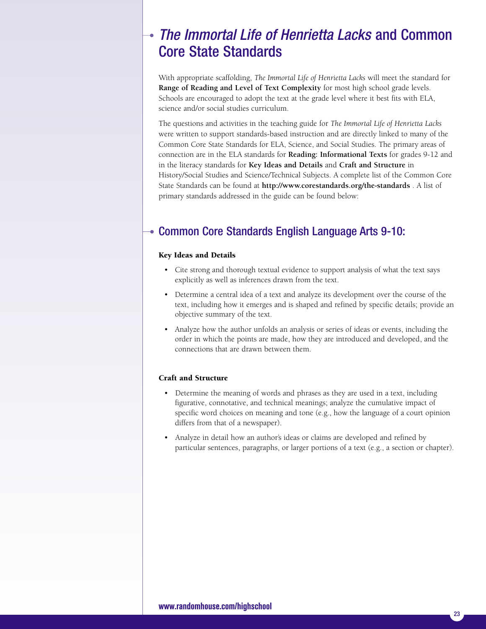## *The Immortal Life of Henrietta Lacks* and Common Core State Standards

With appropriate scaffolding, *The Immortal Life of Henrietta Lacks* will meet the standard for **Range of Reading and Level of Text Complexity** for most high school grade levels. Schools are encouraged to adopt the text at the grade level where it best fits with ELA, science and/or social studies curriculum.

The questions and activities in the teaching guide for *The Immortal Life of Henrietta Lacks* were written to support standards-based instruction and are directly linked to many of the Common Core State Standards for ELA, Science, and Social Studies. The primary areas of connection are in the ELA standards for **Reading: Informational Texts** for grades 9-12 and in the literacy standards for **Key Ideas and Details** and **Craft and Structure** in History/Social Studies and Science/Technical Subjects. A complete list of the Common Core State Standards can be found at **http://www.corestandards.org/the-standards** . A list of primary standards addressed in the guide can be found below:

### Common Core Standards English Language Arts 9-10:

### **Key Ideas and Details**

- Cite strong and thorough textual evidence to support analysis of what the text says explicitly as well as inferences drawn from the text.
- Determine a central idea of a text and analyze its development over the course of the text, including how it emerges and is shaped and refined by specific details; provide an objective summary of the text.
- Analyze how the author unfolds an analysis or series of ideas or events, including the order in which the points are made, how they are introduced and developed, and the connections that are drawn between them.

### **Craft and Structure**

- Determine the meaning of words and phrases as they are used in a text, including figurative, connotative, and technical meanings; analyze the cumulative impact of specific word choices on meaning and tone (e.g., how the language of a court opinion differs from that of a newspaper).
- Analyze in detail how an author's ideas or claims are developed and refined by particular sentences, paragraphs, or larger portions of a text (e.g., a section or chapter).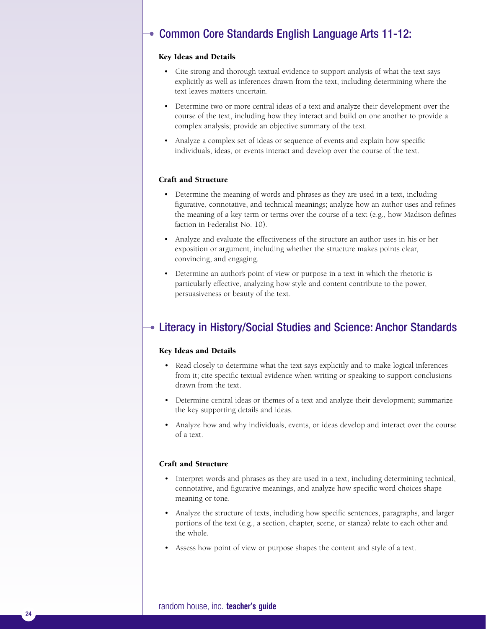### Common Core Standards English Language Arts 11-12:

### **Key Ideas and Details**

- Cite strong and thorough textual evidence to support analysis of what the text says explicitly as well as inferences drawn from the text, including determining where the text leaves matters uncertain.
- Determine two or more central ideas of a text and analyze their development over the course of the text, including how they interact and build on one another to provide a complex analysis; provide an objective summary of the text.
- Analyze a complex set of ideas or sequence of events and explain how specific individuals, ideas, or events interact and develop over the course of the text.

### **Craft and Structure**

- Determine the meaning of words and phrases as they are used in a text, including figurative, connotative, and technical meanings; analyze how an author uses and refines the meaning of a key term or terms over the course of a text (e.g., how Madison defines faction in Federalist No. 10).
- Analyze and evaluate the effectiveness of the structure an author uses in his or her exposition or argument, including whether the structure makes points clear, convincing, and engaging.
- Determine an author's point of view or purpose in a text in which the rhetoric is particularly effective, analyzing how style and content contribute to the power, persuasiveness or beauty of the text.

### Literacy in History/Social Studies and Science: Anchor Standards

### **Key Ideas and Details**

- Read closely to determine what the text says explicitly and to make logical inferences from it; cite specific textual evidence when writing or speaking to support conclusions drawn from the text.
- Determine central ideas or themes of a text and analyze their development; summarize the key supporting details and ideas.
- Analyze how and why individuals, events, or ideas develop and interact over the course of a text.

### **Craft and Structure**

- Interpret words and phrases as they are used in a text, including determining technical, connotative, and figurative meanings, and analyze how specific word choices shape meaning or tone.
- Analyze the structure of texts, including how specific sentences, paragraphs, and larger portions of the text (e.g., a section, chapter, scene, or stanza) relate to each other and the whole.
- Assess how point of view or purpose shapes the content and style of a text.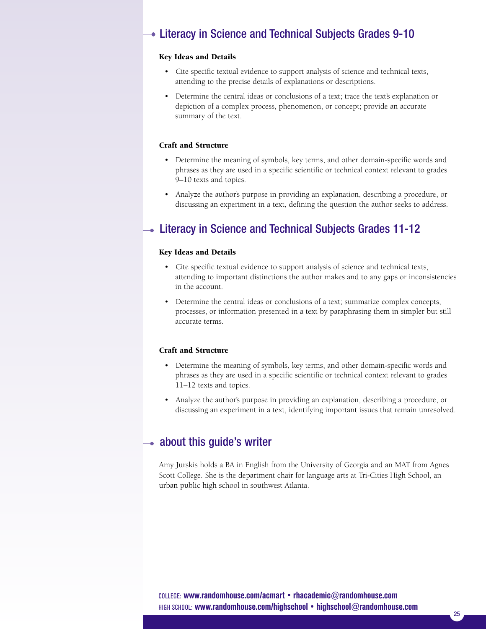### Literacy in Science and Technical Subjects Grades 9-10

### **Key Ideas and Details**

- Cite specific textual evidence to support analysis of science and technical texts, attending to the precise details of explanations or descriptions.
- Determine the central ideas or conclusions of a text; trace the text's explanation or depiction of a complex process, phenomenon, or concept; provide an accurate summary of the text.

### **Craft and Structure**

- Determine the meaning of symbols, key terms, and other domain-specific words and phrases as they are used in a specific scientific or technical context relevant to grades 9–10 texts and topics.
- Analyze the author's purpose in providing an explanation, describing a procedure, or discussing an experiment in a text, defining the question the author seeks to address.

### Literacy in Science and Technical Subjects Grades 11-12

### **Key Ideas and Details**

- Cite specific textual evidence to support analysis of science and technical texts, attending to important distinctions the author makes and to any gaps or inconsistencies in the account.
- Determine the central ideas or conclusions of a text; summarize complex concepts, processes, or information presented in a text by paraphrasing them in simpler but still accurate terms.

### **Craft and Structure**

- Determine the meaning of symbols, key terms, and other domain-specific words and phrases as they are used in a specific scientific or technical context relevant to grades 11–12 texts and topics.
- Analyze the author's purpose in providing an explanation, describing a procedure, or discussing an experiment in a text, identifying important issues that remain unresolved.

### $\bullet$  about this guide's writer

Amy Jurskis holds a BA in English from the University of Georgia and an MAT from Agnes Scott College. She is the department chair for language arts at Tri-Cities High School, an urban public high school in southwest Atlanta.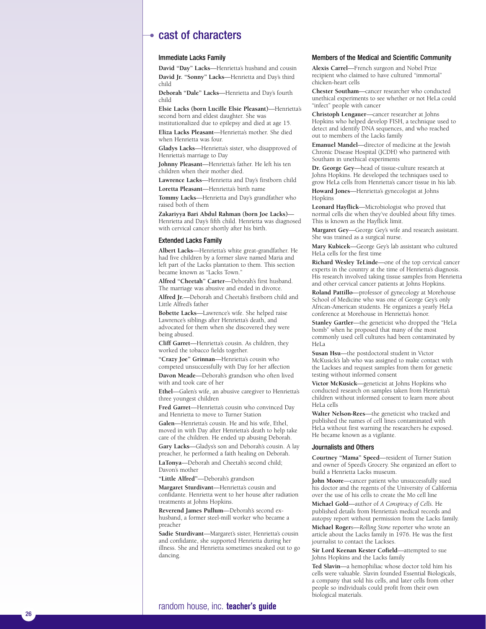### cast of characters

#### Immediate Lacks Family

David "Day" Lacks—Henrietta's husband and cousin **David Jr. "Sonny" Lacks—Henrietta and Day's third** c h i l d

**Deborah "Dale" Lacks—Henrietta and Day's fourth** c h i l d

Elsie Lacks (born Lucille Elsie Pleasant)—Henrietta's second born and eldest daughter. She was institutionalized due to epilepsy and died at age 15. **Eliza Lacks Pleasant—Henrietta's mother. She died** 

when Henrietta was four.

**Gladys Lacks—Henrietta's sister, who disapproved of** Henrietta's marriage to Day

**Johnny Pleasant—Henrietta's father. He left his ten** children when their mother died.

**Lawrence Lacks—Henrietta and Day's firstborn child** Loretta Pleasant-Henrietta's birth name

**Tommy Lacks—Henrietta and Day's grandfather who** raised both of them

Zakariyya Bari Abdul Rahman (born Joe Lacks)— Henrietta and Day's fifth child. Henrietta was diagnosed with cervical cancer shortly after his birth.

#### Extended Lacks Family

**Albert Lacks—Henrietta's white great-grandfather. He** had five children by a former slave named Maria and left part of the Lacks plantation to them. This section became known as "Lacks Town."

Alfred "Cheetah" Carter—Deborah's first husband. The marriage was abusive and ended in divorce.

**Alfred Jr.—Deborah and Cheetah's firstborn child and** Little Alfred's father

**Bobette Lacks—Lawrence's wife. She helped raise** Lawrence's siblings after Henrietta's death, and advocated for them when she discovered they were being abused.

**Cliff Garret—Henrietta's cousin. As children, they** worked the tobacco fields together.

"Crazy Joe" Grinnan-Henrietta's cousin who competed unsuccessfully with Day for her affection **Davon Meade—Deborah's grandson who often lived** with and took care of her

**Ethel—Galen's wife, an abusive caregiver to Henrietta's** three youngest children

**Fred Garret—Henrietta's cousin who convinced Day** and Henrietta to move to Turner Station

Galen-Henrietta's cousin. He and his wife, Ethel, moved in with Day after Henrietta's death to help take care of the children. He ended up abusing Deborah.

**Gary Lacks—Gladys's son and Deborah's cousin. A lay** preacher, he performed a faith healing on Deborah. **LaTonya—**Deborah and Cheetah's second child; Davon's mother

**"Little Alfred"—**Deborah's grandson

Margaret Sturdivant-Henrietta's cousin and confidante. Henrietta went to her house after radiation treatments at Johns Hopkins.

**Reverend James Pullum—**Deborah's second exhusband, a former steel-mill worker who became a preacher

Sadie Sturdivant-Margaret's sister, Henrietta's cousin and confidante, she supported Henrietta during her illness. She and Henrietta sometimes sneaked out to go dancing.

#### Members of the Medical and Scientific Community

Alexis Carrel-French surgeon and Nobel Prize recipient who claimed to have cultured "immortal" chicken-heart cells

**Chester Southam**—cancer researcher who conducted unethical experiments to see whether or not HeLa could "infect" people with cancer

**Christoph Lengauer-**cancer researcher at Johns Hopkins who helped develop FISH, a technique used to detect and identify DNA sequences, and who reached out to members of the Lacks family

**Emanuel Mandel**—director of medicine at the Jewish Chronic Disease Hospital (JCDH) who partnered with Southam in unethical experiments

Dr. George Gey-head of tissue-culture research at Johns Hopkins. He developed the techniques used to grow HeLa cells from Henrietta's cancer tissue in his lab.

**Howard Jones—Henrietta's gynecologist at Johns** Hopkins

**Leonard Hayflick—Microbiologist who proved that** normal cells die when they've doubled about fifty times. ' This is known as the Hayflick limit.

**Margaret Gey—George Gey's wife and research assistant.** She was trained as a surgical nurse.

Mary Kubicek—George Gey's lab assistant who cultured HeLa cells for the first time

**Richard Wesley TeLinde—one of the top cervical cancer** experts in the country at the time of Henrietta's diagnosis. His research involved taking tissue samples from Henrietta and other cervical cancer patients at Johns Hopkins.

**Roland Pattillo-professor of gynecology at Morehouse** School of Medicine who was one of George Gey's only African-American students. He organizes a yearly HeLa conference at Morehouse in Henrietta's honor.

**Stanley Gartler—the geneticist who dropped the "HeLa** bomb" when he proposed that many of the most commonly used cell cultures had been contaminated by HeLa

Susan Hsu-the postdoctoral student in Victor McKusick's lab who was assigned to make contact with the Lackses and request samples from them for genetic testing without informed consent

**Victor McKusick**—geneticist at Johns Hopkins who conducted research on samples taken from Henrietta's children without informed consent to learn more about HeLa cells

**Walter Nelson-Rees—the geneticist who tracked and** published the names of cell lines contaminated with HeLa without first warning the researchers he exposed. He became known as a vigilante.

#### Journalists and Others

**Courtney "Mama" Speed-resident of Turner Station** and owner of Speed's Grocery. She organized an effort to build a Henrietta Lacks museum.

**John Moore—cancer patient who unsuccessfully sued** his doctor and the regents of the University of California over the use of his cells to create the Mo cell line

**Michael Gold**—author of A Conspiracy of Cells. He published details from Henrietta's medical records and autopsy report without permission from the Lacks family.

Michael Rogers-Rolling Stone reporter who wrote an article about the Lacks family in 1976. He was the first journalist to contact the Lackses.

Sir Lord Keenan Kester Cofield-attempted to sue Johns Hopkins and the Lacks family

Ted Slavin-a hemophiliac whose doctor told him his cells were valuable. Slavin founded Essential Biologicals, a company that sold his cells, and later cells from other people so individuals could profit from their own biological materials.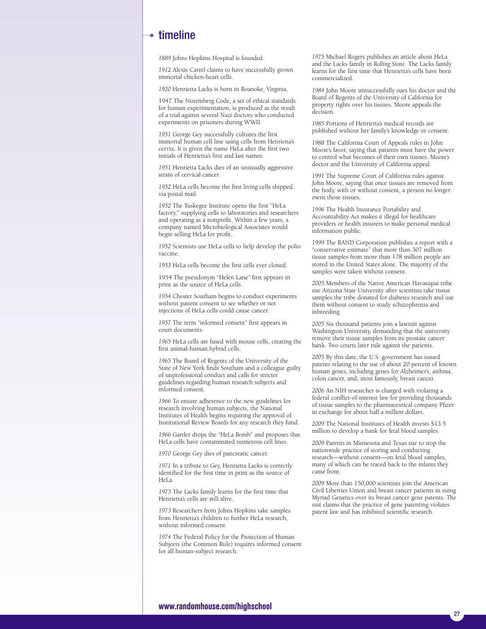### $\rightarrow$  timeline

*1889* Johns Hopkins Hospital is founded.

*1912* Alexis Carrel claims to have successfully grown immortal chicken-heart cells.

*1920* Henrietta Lacks is born in Roanoke, Virginia.

1947 The Nuremberg Code, a set of ethical standards for human experimentation, is produced as the result of a trial against several Nazi doctors who conducted experiments on prisoners during WWII.

*1951* George Gey successfully cultures the first immortal human cell line using cells from Henrietta's cervix. It is given the name HeLa after the first two initials of Henrietta's first and last names.

*1951* Henrietta Lacks dies of an unusually aggressive strain of cervical cancer.

*1952* HeLa cells become the first living cells shipped via postal mail.

*1952* The Tuskegee Institute opens the first "HeLa factory," supplying cells to laboratories and researchers and operating as a nonprofit. Within a few years, a company named Microbiological Associates would begin selling HeLa for profit.

*1952* Scientists use HeLa cells to help develop the polio vaccine.

*1953* HeLa cells become the first cells ever cloned.

1954 The pseudonym "Helen Lane" first appears in print as the source of HeLa cells.

*1954* Chester Southam begins to conduct experiments without patient consent to see whether or not injections of HeLa cells could cause cancer.

*1957* The term "informed consent" first appears in court documents.

*1965* HeLa cells are fused with mouse cells, creating the first animal-human hybrid cells.

*1965* The Board of Regents of the University of the State of New York finds Southam and a colleague guilty of unprofessional conduct and calls for stricter guidelines regarding human research subjects and informed consent.

*1966* To ensure adherence to the new guidelines for research involving human subjects, the National Institutes of Health begins requiring the approval of Institutional Review Boards for any research they fund.

*1966* Gartler drops the "HeLa Bomb" and proposes that HeLa cells have contaminated numerous cell lines.

*1970* George Gey dies of pancreatic cancer.

*1971* In a tribute to Gey, Henrietta Lacks is correctly identified for the first time in print as the source of HeLa.

*1973* The Lacks family learns for the first time that Henrietta's cells are still alive.

*1973* Researchers from Johns Hopkins take samples from Henrietta's children to further HeLa research, without informed consent.

*1974* The Federal Policy for the Protection of Human Subjects (the Common Rule) requires informed consent for all human-subject research.

*1975* Michael Rogers publishes an article about HeLa and the Lacks family in *Rolling Stone*. The Lacks family learns for the first time that Henrietta's cells have been commercialized.

*1984* John Moore unsuccessfully sues his doctor and the Board of Regents of the University of California for property rights over his tissues. Moore appeals the decision.

*1985* Portions of Henrietta's medical records are published without her family's knowledge or consent.

*1988* The California Court of Appeals rules in John Moore's favor, saying that patients must have the power to control what becomes of their own tissues. Moore's doctor and the University of California appeal.

*1991* The Supreme Court of California rules against John Moore, saying that once tissues are removed from the body, with or without consent, a person no longer owns those tissues.

*1996* The Health Insurance Portability and Accountability Act makes it illegal for healthcare providers or health insurers to make personal medical information public.

*1999* The RAND Corporation publishes a report with a "conservative estimate" that more than 307 million tissue samples from more than 178 million people are stored in the United States alone. The majority of the samples were taken without consent.

*2005* Members of the Native American Havasupai tribe sue Arizona State University after scientists take tissue samples the tribe donated for diabetes research and use them without consent to study schizophrenia and inbreeding.

*2005* Six thousand patients join a lawsuit against Washington University, demanding that the university remove their tissue samples from its prostate cancer bank. Two courts later rule against the patients.

*2005* By this date, the U.S. government has issued patents relating to the use of about 20 percent of known human genes, including genes for Alzheimer's, asthma, colon cancer, and, most famously, breast cancer.

*2006* An NIH researcher is charged with violating a federal conflict-of-interest law for providing thousands of tissue samples to the pharmaceutical company Pfizer in exchange for about half a million dollars.

*2009* The National Institutes of Health invests \$13.5 million to develop a bank for fetal blood samples.

*2009* Parents in Minnesota and Texas sue to stop the nationwide practice of storing and conducting research—without consent—on fetal blood samples, many of which can be traced back to the infants they came from.

*2009* More than 150,000 scientists join the American Civil Liberties Union and breast cancer patients in suing Myriad Genetics over its breast cancer gene patents. The suit claims that the practice of gene patenting violates patent law and has inhibited scientific research.

### **www.randomhouse.com/highschool**